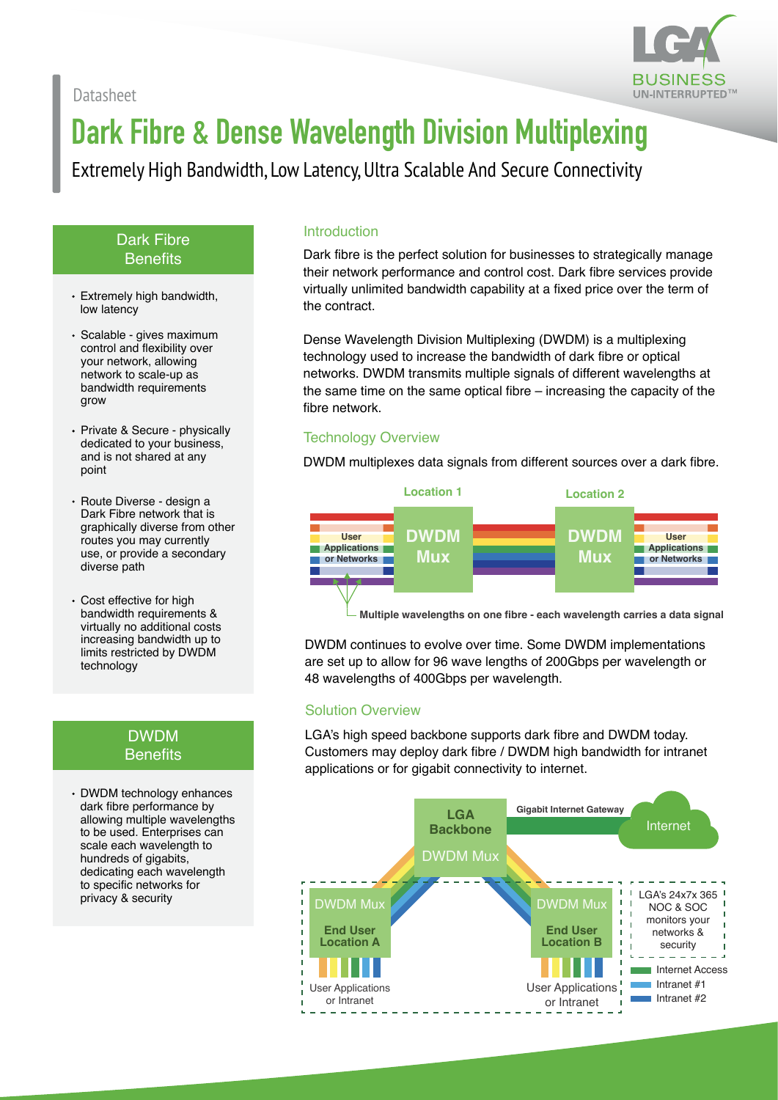

# **Dark Fibre & Dense Wavelength Division Multiplexing**

Extremely High Bandwidth, Low Latency, Ultra Scalable And Secure Connectivity

#### Dark Fibre **Benefits**

- Extremely high bandwidth, low latency
- Scalable gives maximum control and flexibility over your network, allowing network to scale-up as bandwidth requirements grow
- Private & Secure physically dedicated to your business, and is not shared at any point
- Route Diverse design a Dark Fibre network that is graphically diverse from other routes you may currently use, or provide a secondary diverse path
- Cost effective for high bandwidth requirements & virtually no additional costs increasing bandwidth up to limits restricted by DWDM technology

#### die Benefits by DWDM benefits **Benefits**

DWDM technology enhances dark fibre performance by allowing multiple wavelengths to be used. Enterprises can scale each wavelength to hundreds of gigabits, dedicating each wavelength to specific networks for privacy & security

#### **Introduction**

Dark fibre is the perfect solution for businesses to strategically manage their network performance and control cost. Dark fibre services provide virtually unlimited bandwidth capability at a fixed price over the term of the contract.

Dense Wavelength Division Multiplexing (DWDM) is a multiplexing technology used to increase the bandwidth of dark fibre or optical networks. DWDM transmits multiple signals of different wavelengths at the same time on the same optical fibre – increasing the capacity of the fibre network.

#### Technology Overview

DWDM multiplexes data signals from different sources over a dark fibre.



**Multiple wavelengths on one fibre - each wavelength carries a data signal**

DWDM continues to evolve over time. Some DWDM implementations are set up to allow for 96 wave lengths of 200Gbps per wavelength or 48 wavelengths of 400Gbps per wavelength.

#### Solution Overview

LGA's high speed backbone supports dark fibre and DWDM today. Customers may deploy dark fibre / DWDM high bandwidth for intranet applications or for gigabit connectivity to internet.